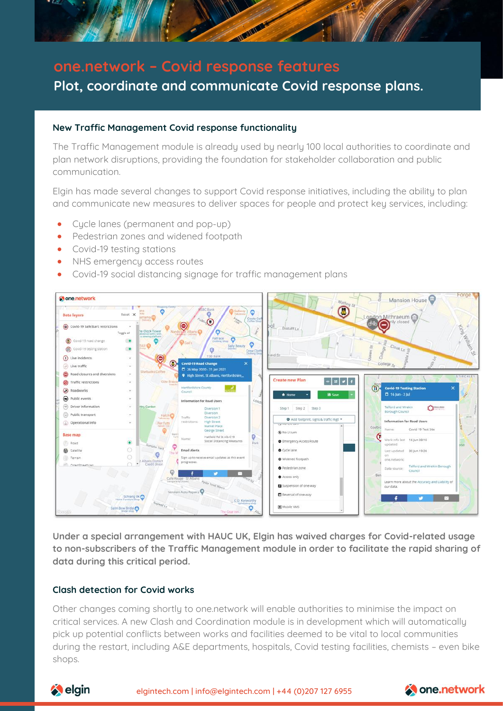

# **one.network – Covid response features Plot, coordinate and communicate Covid response plans.**

### **New Traffic Management Covid response functionality**

The Traffic Management module is already used by nearly 100 local authorities to coordinate and plan network disruptions, providing the foundation for stakeholder collaboration and public communication.

Elgin has made several changes to support Covid response initiatives, including the ability to plan and communicate new measures to deliver spaces for people and protect key services, including:

- Cycle lanes (permanent and pop-up)
- Pedestrian zones and widened footpath
- Covid-19 testing stations
- NHS emergency access routes
- Covid-19 social distancing signage for traffic management plans



**Under a special arrangement with HAUC UK, Elgin has waived charges for Covid-related usage to non-subscribers of the Traffic Management module in order to facilitate the rapid sharing of data during this critical period.** 

#### **Clash detection for Covid works**

Other changes coming shortly to one.network will enable authorities to minimise the impact on critical services. A new Clash and Coordination module is in development which will automatically pick up potential conflicts between works and facilities deemed to be vital to local communities during the restart, including A&E departments, hospitals, Covid testing facilities, chemists – even bike shops.



elgintech.com | [info@elgintech.com](mailto:info@elgintech.com) | +44 (0)207 127 6955